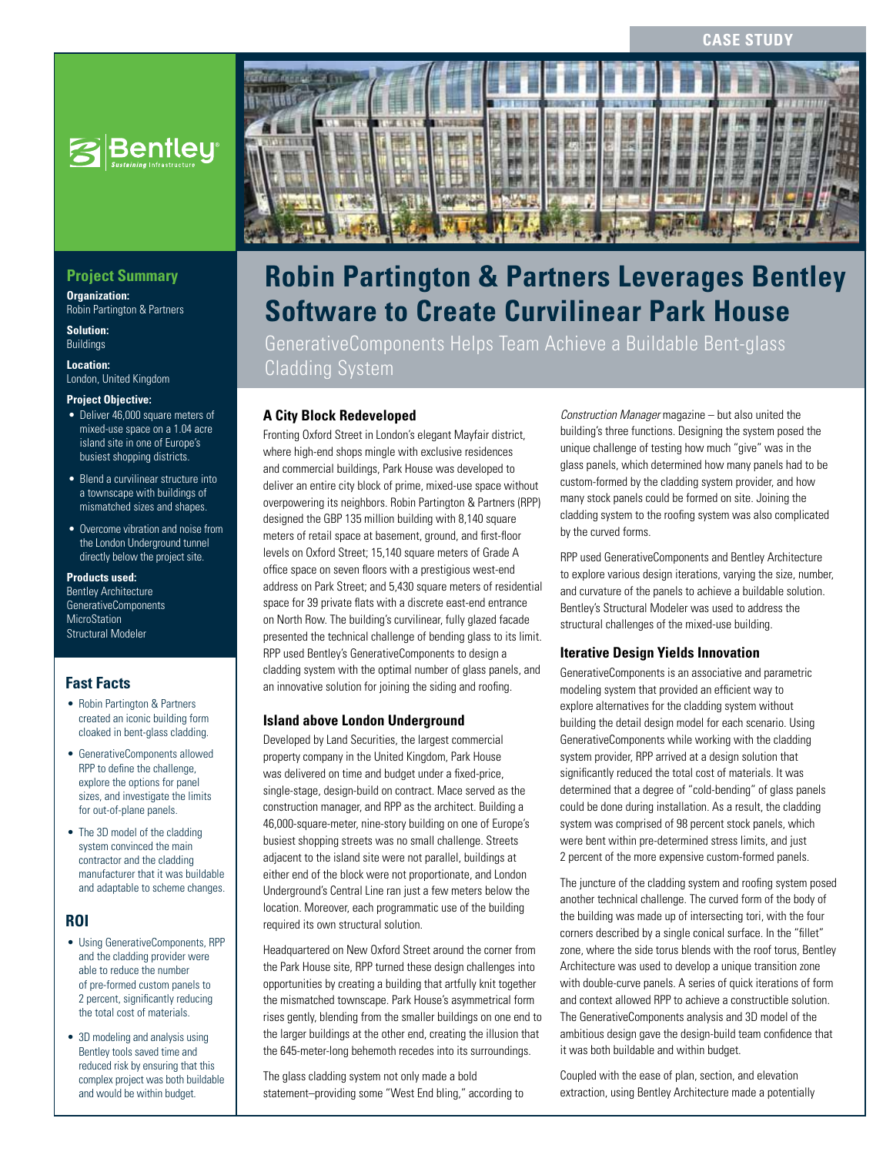#### **Case Study**



# **Project Summary**

**Organization:**  Robin Partington & Partners

**Solution:**  Buildings

**Location:**  London, United Kingdom

#### **Project Objective:**

- Deliver 46,000 square meters of mixed-use space on a 1.04 acre island site in one of Europe's busiest shopping districts.
- Blend a curvilinear structure into a townscape with buildings of mismatched sizes and shapes.
- Overcome vibration and noise from the London Underground tunnel directly below the project site.

**Products used:** Bentley Architecture GenerativeComponents MicroStation Structural Modeler

## **Fast Facts**

- Robin Partington & Partners created an iconic building form cloaked in bent-glass cladding.
- GenerativeComponents allowed RPP to define the challenge, explore the options for panel sizes, and investigate the limits for out-of-plane panels.
- The 3D model of the cladding system convinced the main contractor and the cladding manufacturer that it was buildable and adaptable to scheme changes.

### **ROI**

- • Using GenerativeComponents, RPP and the cladding provider were able to reduce the number of pre-formed custom panels to 2 percent, significantly reducing the total cost of materials.
- 3D modeling and analysis using Bentley tools saved time and reduced risk by ensuring that this complex project was both buildable and would be within budget.



# **Robin Partington & Partners Leverages Bentley Software to Create Curvilinear Park House**

GenerativeComponents Helps Team Achieve a Buildable Bent-glass Cladding System

## **A City Block Redeveloped**

Fronting Oxford Street in London's elegant Mayfair district, where high-end shops mingle with exclusive residences and commercial buildings, Park House was developed to deliver an entire city block of prime, mixed-use space without overpowering its neighbors. Robin Partington & Partners (RPP) designed the GBP 135 million building with 8,140 square meters of retail space at basement, ground, and first-floor levels on Oxford Street; 15,140 square meters of Grade A office space on seven floors with a prestigious west-end address on Park Street; and 5,430 square meters of residential space for 39 private flats with a discrete east-end entrance on North Row. The building's curvilinear, fully glazed facade presented the technical challenge of bending glass to its limit. RPP used Bentley's GenerativeComponents to design a cladding system with the optimal number of glass panels, and an innovative solution for joining the siding and roofing.

### **Island above London Underground**

Developed by Land Securities, the largest commercial property company in the United Kingdom, Park House was delivered on time and budget under a fixed-price, single-stage, design-build on contract. Mace served as the construction manager, and RPP as the architect. Building a 46,000-square-meter, nine-story building on one of Europe's busiest shopping streets was no small challenge. Streets adjacent to the island site were not parallel, buildings at either end of the block were not proportionate, and London Underground's Central Line ran just a few meters below the location. Moreover, each programmatic use of the building required its own structural solution.

Headquartered on New Oxford Street around the corner from the Park House site, RPP turned these design challenges into opportunities by creating a building that artfully knit together the mismatched townscape. Park House's asymmetrical form rises gently, blending from the smaller buildings on one end to the larger buildings at the other end, creating the illusion that the 645-meter-long behemoth recedes into its surroundings.

The glass cladding system not only made a bold statement–providing some "West End bling," according to

*Construction Manager* magazine – but also united the building's three functions. Designing the system posed the unique challenge of testing how much "give" was in the glass panels, which determined how many panels had to be custom-formed by the cladding system provider, and how many stock panels could be formed on site. Joining the cladding system to the roofing system was also complicated by the curved forms.

RPP used GenerativeComponents and Bentley Architecture to explore various design iterations, varying the size, number, and curvature of the panels to achieve a buildable solution. Bentley's Structural Modeler was used to address the structural challenges of the mixed-use building.

#### **Iterative Design Yields Innovation**

GenerativeComponents is an associative and parametric modeling system that provided an efficient way to explore alternatives for the cladding system without building the detail design model for each scenario. Using GenerativeComponents while working with the cladding system provider, RPP arrived at a design solution that significantly reduced the total cost of materials. It was determined that a degree of "cold-bending" of glass panels could be done during installation. As a result, the cladding system was comprised of 98 percent stock panels, which were bent within pre-determined stress limits, and just 2 percent of the more expensive custom-formed panels.

The juncture of the cladding system and roofing system posed another technical challenge. The curved form of the body of the building was made up of intersecting tori, with the four corners described by a single conical surface. In the "fillet" zone, where the side torus blends with the roof torus, Bentley Architecture was used to develop a unique transition zone with double-curve panels. A series of quick iterations of form and context allowed RPP to achieve a constructible solution. The GenerativeComponents analysis and 3D model of the ambitious design gave the design-build team confidence that it was both buildable and within budget.

Coupled with the ease of plan, section, and elevation extraction, using Bentley Architecture made a potentially